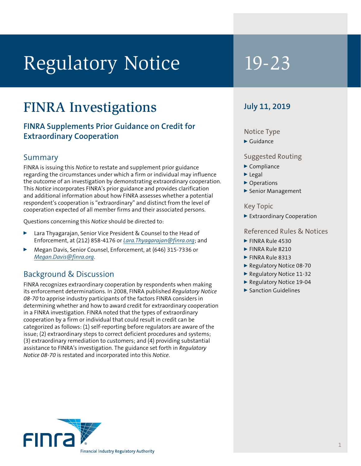# Regulatory Notice 19-23

## FINRA Investigations

#### **FINRA Supplements Prior Guidance on Credit for Extraordinary Cooperation**

#### Summary

FINRA is issuing this *Notice* to restate and supplement prior guidance regarding the circumstances under which a firm or individual may influence the outcome of an investigation by demonstrating extraordinary cooperation. This *Notice* incorporates FINRA's prior guidance and provides clarification and additional information about how FINRA assesses whether a potential respondent's cooperation is "extraordinary" and distinct from the level of cooperation expected of all member firms and their associated persons.

Questions concerning this *Notice* should be directed to:

- Lara Thyagarajan, Senior Vice President & Counsel to the Head of Enforcement, at (212) 858-4176 or *[Lara.Thyagarajan@finra.org](mailto:Lara.Thyagarajan@finra.org)*; and
- <sup>0</sup> Megan Davis, Senior Counsel, Enforcement, at (646) 315-7336 or *[Megan.Davis@finra.org](mailto:Megan.Davis@finra.org)*.

### Background & Discussion

FINRA recognizes extraordinary cooperation by respondents when making its enforcement determinations. In 2008, FINRA published *Regulatory Notice 08-70* to apprise industry participants of the factors FINRA considers in determining whether and how to award credit for extraordinary cooperation in a FINRA investigation. FINRA noted that the types of extraordinary cooperation by a firm or individual that could result in credit can be categorized as follows: (1) self-reporting before regulators are aware of the issue; (2) extraordinary steps to correct deficient procedures and systems; (3) extraordinary remediation to customers; and (4) providing substantial assistance to FINRA's investigation. The guidance set forth in *Regulatory Notice 08-70* is restated and incorporated into this *Notice*.

#### **July 11, 2019**

#### Notice Type

 $\blacktriangleright$  Guidance

#### Suggested Routing

- $\blacktriangleright$  Compliance
- $\blacktriangleright$  Legal
- ▶ Operations
- Senior Management

#### Key Topic

<sup>0</sup> Extraordinary Cooperation

#### Referenced Rules & Notices

- $\blacktriangleright$  FINRA Rule 4530
- FINRA Rule 8210
- $\blacktriangleright$  FINRA Rule 8313
- ▶ Regulatory Notice 08-70
- ▶ Regulatory Notice 11-32
- ▶ Regulatory Notice 19-04
- $\blacktriangleright$  Sanction Guidelines

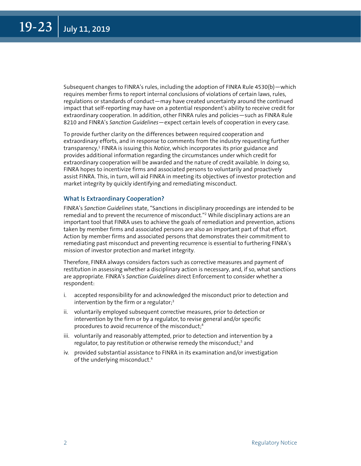<span id="page-1-0"></span>Subsequent changes to FINRA's rules, including the adoption of FINRA Rule 4530(b)—which requires member firms to report internal conclusions of violations of certain laws, rules, regulations or standards of conduct—may have created uncertainty around the continued impact that self-reporting may have on a potential respondent's ability to receive credit for extraordinary cooperation. In addition, other FINRA rules and policies—such as FINRA Rule 8210 and FINRA's *Sanction Guidelines*—expect certain levels of cooperation in every case.

To provide further clarity on the differences between required cooperation and extraordinary efforts, and in response to comments from the industry requesting further transparency,<sup>[1](#page-10-0)</sup> FINRA is issuing this *Notice*, which incorporates its prior guidance and provides additional information regarding the circumstances under which credit for extraordinary cooperation will be awarded and the nature of credit available. In doing so, FINRA hopes to incentivize firms and associated persons to voluntarily and proactively assist FINRA. This, in turn, will aid FINRA in meeting its objectives of investor protection and market integrity by quickly identifying and remediating misconduct.

#### **What Is Extraordinary Cooperation?**

FINRA's *Sanction Guidelines* state, "Sanctions in disciplinary proceedings are intended to be remedial and to prevent the recurrence of misconduct.["2](#page-10-0) While disciplinary actions are an important tool that FINRA uses to achieve the goals of remediation and prevention, actions taken by member firms and associated persons are also an important part of that effort. Action by member firms and associated persons that demonstrates their commitment to remediating past misconduct and preventing recurrence is essential to furthering FINRA's mission of investor protection and market integrity.

Therefore, FINRA always considers factors such as corrective measures and payment of restitution in assessing whether a disciplinary action is necessary, and, if so, what sanctions are appropriate. FINRA's *Sanction Guidelines* direct Enforcement to consider whether a respondent:

- i. accepted responsibility for and acknowledged the misconduct prior to detection and intervention by the firm or a regulator; $3$
- ii. voluntarily employed subsequent corrective measures, prior to detection or intervention by the firm or by a regulator, to revise general and/or specific procedures to avoid recurrence of the misconduct;[4](#page-10-0)
- iii. voluntarily and reasonably attempted, prior to detection and intervention by a regulator, to pay restitution or otherwise remedy the misconduct;<sup>5</sup> and
- iv. provided substantial assistance to FINRA in its examination and/or investigation of the underlying misconduct.<sup>[6](#page-10-0)</sup>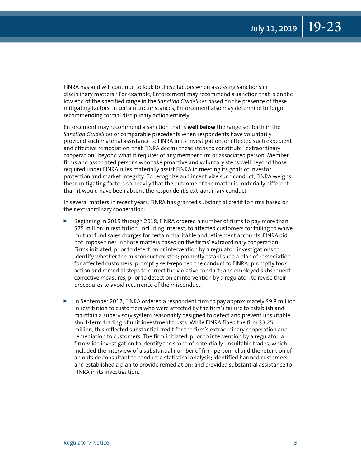<span id="page-2-0"></span>FINRA has and will continue to look to these factors when assessing sanctions in disciplinary matters.[7](#page-10-0) For example, Enforcement may recommend a sanction that is on the low end of the specified range in the *Sanction Guidelines* based on the presence of these mitigating factors. In certain circumstances, Enforcement also may determine to forgo recommending formal disciplinary action entirely.

Enforcement may recommend a sanction that is **well below** the range set forth in the *Sanction Guidelines* or comparable precedents when respondents have voluntarily provided such material assistance to FINRA in its investigation, or effected such expedient and effective remediation, that FINRA deems these steps to constitute "extraordinary cooperation" beyond what it requires of any member firm or associated person. Member firms and associated persons who take proactive and voluntary steps well beyond those required under FINRA rules materially assist FINRA in meeting its goals of investor protection and market integrity. To recognize and incentivize such conduct, FINRA weighs these mitigating factors so heavily that the outcome of the matter is materially different than it would have been absent the respondent's extraordinary conduct.

In several matters in recent years, FINRA has granted substantial credit to firms based on their extraordinary cooperation:

- **EXECUTE:** Beginning in 2015 through 2018, FINRA ordered a number of firms to pay more than \$75 million in restitution, including interest, to affected customers for failing to waive mutual fund sales charges for certain charitable and retirement accounts. FINRA did not impose fines in those matters based on the firms' extraordinary cooperation. Firms initiated, prior to detection or intervention by a regulator, investigations to identify whether the misconduct existed; promptly established a plan of remediation for affected customers; promptly self-reported the conduct to FINRA; promptly took action and remedial steps to correct the violative conduct; and employed subsequent corrective measures, prior to detection or intervention by a regulator, to revise their procedures to avoid recurrence of the misconduct.
- **D** In September 2017, FINRA ordered a respondent firm to pay approximately \$9.8 million in restitution to customers who were affected by the firm's failure to establish and maintain a supervisory system reasonably designed to detect and prevent unsuitable short-term trading of unit investment trusts. While FINRA fined the firm \$3.25 million, this reflected substantial credit for the firm's extraordinary cooperation and remediation to customers. The firm initiated, prior to intervention by a regulator, a firm-wide investigation to identify the scope of potentially unsuitable trades, which included the interview of a substantial number of firm personnel and the retention of an outside consultant to conduct a statistical analysis; identified harmed customers and established a plan to provide remediation; and provided substantial assistance to FINRA in its investigation.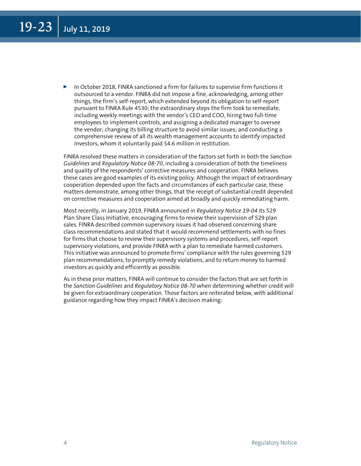$\triangleright$  In October 2018, FINRA sanctioned a firm for failures to supervise firm functions it outsourced to a vendor. FINRA did not impose a fine, acknowledging, among other things, the firm's self-report, which extended beyond its obligation to self-report pursuant to FINRA Rule 4530; the extraordinary steps the firm took to remediate, including weekly meetings with the vendor's CEO and COO, hiring two full-time employees to implement controls, and assigning a dedicated manager to oversee the vendor; changing its billing structure to avoid similar issues; and conducting a comprehensive review of all its wealth management accounts to identify impacted investors, whom it voluntarily paid \$4.6 million in restitution.

FINRA resolved these matters in consideration of the factors set forth in both the *Sanction Guidelines* and *Regulatory Notice 08-70*, including a consideration of both the timeliness and quality of the respondents' corrective measures and cooperation. FINRA believes these cases are good examples of its existing policy. Although the impact of extraordinary cooperation depended upon the facts and circumstances of each particular case, these matters demonstrate, among other things, that the receipt of substantial credit depended on corrective measures and cooperation aimed at broadly and quickly remediating harm.

Most recently, in January 2019, FINRA announced in *Regulatory Notice 19-04* its 529 Plan Share Class Initiative, encouraging firms to review their supervision of 529 plan sales. FINRA described common supervisory issues it had observed concerning share class recommendations and stated that it would recommend settlements with no fines for firms that choose to review their supervisory systems and procedures, self-report supervisory violations, and provide FINRA with a plan to remediate harmed customers. This initiative was announced to promote firms' compliance with the rules governing 529 plan recommendations, to promptly remedy violations, and to return money to harmed investors as quickly and efficiently as possible.

As in these prior matters, FINRA will continue to consider the factors that are set forth in the *Sanction Guidelines* and *Regulatory Notice 08-70* when determining whether credit will be given for extraordinary cooperation. Those factors are reiterated below, with additional guidance regarding how they impact FINRA's decision making: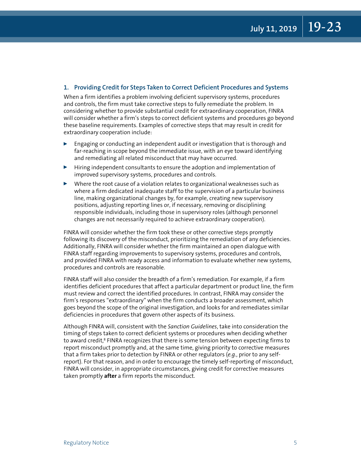#### <span id="page-4-0"></span>**1. Providing Credit for Steps Taken to Correct Deficient Procedures and Systems**

When a firm identifies a problem involving deficient supervisory systems, procedures and controls, the firm must take corrective steps to fully remediate the problem. In considering whether to provide substantial credit for extraordinary cooperation, FINRA will consider whether a firm's steps to correct deficient systems and procedures go beyond these baseline requirements. Examples of corrective steps that may result in credit for extraordinary cooperation include:

- <sup>0</sup> Engaging or conducting an independent audit or investigation that is thorough and far-reaching in scope beyond the immediate issue, with an eye toward identifying and remediating all related misconduct that may have occurred.
- $\blacktriangleright$  Hiring independent consultants to ensure the adoption and implementation of improved supervisory systems, procedures and controls.
- $\triangleright$  Where the root cause of a violation relates to organizational weaknesses such as where a firm dedicated inadequate staff to the supervision of a particular business line, making organizational changes by, for example, creating new supervisory positions, adjusting reporting lines or, if necessary, removing or disciplining responsible individuals, including those in supervisory roles (although personnel changes are not necessarily required to achieve extraordinary cooperation).

FINRA will consider whether the firm took these or other corrective steps promptly following its discovery of the misconduct, prioritizing the remediation of any deficiencies. Additionally, FINRA will consider whether the firm maintained an open dialogue with FINRA staff regarding improvements to supervisory systems, procedures and controls, and provided FINRA with ready access and information to evaluate whether new systems, procedures and controls are reasonable.

FINRA staff will also consider the breadth of a firm's remediation. For example, if a firm identifies deficient procedures that affect a particular department or product line, the firm must review and correct the identified procedures. In contrast, FINRA may consider the firm's responses "extraordinary" when the firm conducts a broader assessment, which goes beyond the scope of the original investigation, and looks for and remediates similar deficiencies in procedures that govern other aspects of its business.

Although FINRA will, consistent with the *Sanction Guidelines*, take into consideration the timing of steps taken to correct deficient systems or procedures when deciding whether to award credit,<sup>[8](#page-10-0)</sup> FINRA recognizes that there is some tension between expecting firms to report misconduct promptly and, at the same time, giving priority to corrective measures that a firm takes prior to detection by FINRA or other regulators (*e.g.*, prior to any selfreport). For that reason, and in order to encourage the timely self-reporting of misconduct, FINRA will consider, in appropriate circumstances, giving credit for corrective measures taken promptly **after** a firm reports the misconduct.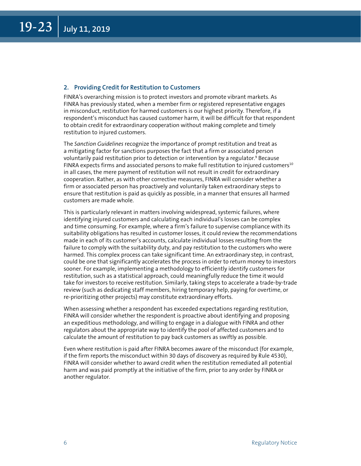#### <span id="page-5-0"></span>**2. Providing Credit for Restitution to Customers**

FINRA's overarching mission is to protect investors and promote vibrant markets. As FINRA has previously stated, when a member firm or registered representative engages in misconduct, restitution for harmed customers is our highest priority. Therefore, if a respondent's misconduct has caused customer harm, it will be difficult for that respondent to obtain credit for extraordinary cooperation without making complete and timely restitution to injured customers.

The *Sanction Guidelines* recognize the importance of prompt restitution and treat as a mitigating factor for sanctions purposes the fact that a firm or associated person voluntarily paid restitution prior to detection or intervention by a regulator.<sup>[9](#page-10-0)</sup> Because FINRA expects firms and associated persons to make full restitution to injured customers $10$ in all cases, the mere payment of restitution will not result in credit for extraordinary cooperation. Rather, as with other corrective measures, FINRA will consider whether a firm or associated person has proactively and voluntarily taken extraordinary steps to ensure that restitution is paid as quickly as possible, in a manner that ensures all harmed customers are made whole.

This is particularly relevant in matters involving widespread, systemic failures, where identifying injured customers and calculating each individual's losses can be complex and time consuming. For example, where a firm's failure to supervise compliance with its suitability obligations has resulted in customer losses, it could review the recommendations made in each of its customer's accounts, calculate individual losses resulting from the failure to comply with the suitability duty, and pay restitution to the customers who were harmed. This complex process can take significant time. An extraordinary step, in contrast, could be one that significantly accelerates the process in order to return money to investors sooner. For example, implementing a methodology to efficiently identify customers for restitution, such as a statistical approach, could meaningfully reduce the time it would take for investors to receive restitution. Similarly, taking steps to accelerate a trade-by-trade review (such as dedicating staff members, hiring temporary help, paying for overtime, or re-prioritizing other projects) may constitute extraordinary efforts.

When assessing whether a respondent has exceeded expectations regarding restitution, FINRA will consider whether the respondent is proactive about identifying and proposing an expeditious methodology, and willing to engage in a dialogue with FINRA and other regulators about the appropriate way to identify the pool of affected customers and to calculate the amount of restitution to pay back customers as swiftly as possible.

Even where restitution is paid after FINRA becomes aware of the misconduct (for example, if the firm reports the misconduct within 30 days of discovery as required by Rule 4530), FINRA will consider whether to award credit when the restitution remediated all potential harm and was paid promptly at the initiative of the firm, prior to any order by FINRA or another regulator.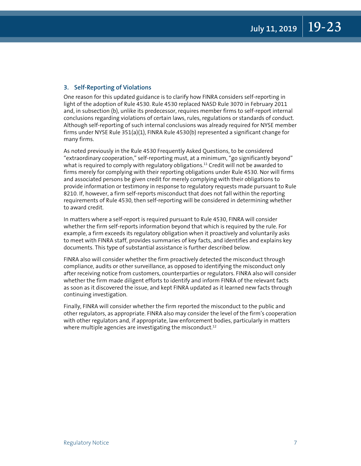#### <span id="page-6-0"></span>**3. Self-Reporting of Violations**

One reason for this updated guidance is to clarify how FINRA considers self-reporting in light of the adoption of Rule 4530. Rule 4530 replaced NASD Rule 3070 in February 2011 and, in subsection (b), unlike its predecessor, requires member firms to self-report internal conclusions regarding violations of certain laws, rules, regulations or standards of conduct. Although self-reporting of such internal conclusions was already required for NYSE member firms under NYSE Rule 351(a)(1), FINRA Rule 4530(b) represented a significant change for many firms.

As noted previously in the Rule 4530 Frequently Asked Questions, to be considered "extraordinary cooperation," self-reporting must, at a minimum, "go significantly beyond" what is required to comply with regulatory obligations.<sup>11</sup> Credit will not be awarded to firms merely for complying with their reporting obligations under Rule 4530. Nor will firms and associated persons be given credit for merely complying with their obligations to provide information or testimony in response to regulatory requests made pursuant to Rule 8210. If, however, a firm self-reports misconduct that does not fall within the reporting requirements of Rule 4530, then self-reporting will be considered in determining whether to award credit.

In matters where a self-report is required pursuant to Rule 4530, FINRA will consider whether the firm self-reports information beyond that which is required by the rule. For example, a firm exceeds its regulatory obligation when it proactively and voluntarily asks to meet with FINRA staff, provides summaries of key facts, and identifies and explains key documents. This type of substantial assistance is further described below.

FINRA also will consider whether the firm proactively detected the misconduct through compliance, audits or other surveillance, as opposed to identifying the misconduct only after receiving notice from customers, counterparties or regulators. FINRA also will consider whether the firm made diligent efforts to identify and inform FINRA of the relevant facts as soon as it discovered the issue, and kept FINRA updated as it learned new facts through continuing investigation.

Finally, FINRA will consider whether the firm reported the misconduct to the public and other regulators, as appropriate. FINRA also may consider the level of the firm's cooperation with other regulators and, if appropriate, law enforcement bodies, particularly in matters where multiple agencies are investigating the misconduct.<sup>[12](#page-10-0)</sup>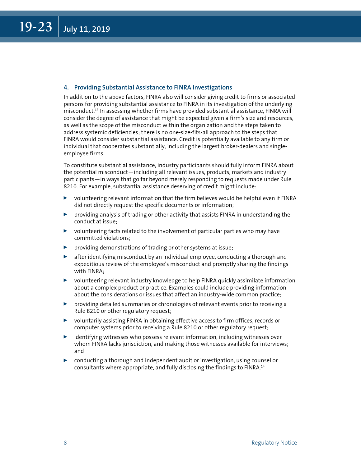#### <span id="page-7-0"></span>**4. Providing Substantial Assistance to FINRA Investigations**

In addition to the above factors, FINRA also will consider giving credit to firms or associated persons for providing substantial assistance to FINRA in its investigation of the underlying misconduct.[13](#page-10-0) In assessing whether firms have provided substantial assistance, FINRA will consider the degree of assistance that might be expected given a firm's size and resources, as well as the scope of the misconduct within the organization and the steps taken to address systemic deficiencies; there is no one-size-fits-all approach to the steps that FINRA would consider substantial assistance. Credit is potentially available to any firm or individual that cooperates substantially, including the largest broker-dealers and singleemployee firms.

To constitute substantial assistance, industry participants should fully inform FINRA about the potential misconduct—including all relevant issues, products, markets and industry participants—in ways that go far beyond merely responding to requests made under Rule 8210. For example, substantial assistance deserving of credit might include:

- $\triangleright$  volunteering relevant information that the firm believes would be helpful even if FINRA did not directly request the specific documents or information;
- $\triangleright$  providing analysis of trading or other activity that assists FINRA in understanding the conduct at issue;
- $\triangleright$  volunteering facts related to the involvement of particular parties who may have committed violations;
- $\blacktriangleright$  providing demonstrations of trading or other systems at issue;
- $\triangleright$  after identifying misconduct by an individual employee, conducting a thorough and expeditious review of the employee's misconduct and promptly sharing the findings with FINRA;
- $\triangleright$  volunteering relevant industry knowledge to help FINRA quickly assimilate information about a complex product or practice. Examples could include providing information about the considerations or issues that affect an industry-wide common practice;
- $\triangleright$  providing detailed summaries or chronologies of relevant events prior to receiving a Rule 8210 or other regulatory request;
- ▶ voluntarily assisting FINRA in obtaining effective access to firm offices, records or computer systems prior to receiving a Rule 8210 or other regulatory request;
- $\triangleright$  identifying witnesses who possess relevant information, including witnesses over whom FINRA lacks jurisdiction, and making those witnesses available for interviews; and
- $\triangleright$  conducting a thorough and independent audit or investigation, using counsel or consultants where appropriate, and fully disclosing the findings to FINRA.[14](#page-10-0)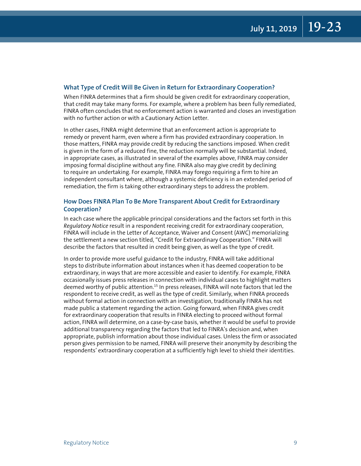#### <span id="page-8-0"></span>**What Type of Credit Will Be Given in Return for Extraordinary Cooperation?**

When FINRA determines that a firm should be given credit for extraordinary cooperation, that credit may take many forms. For example, where a problem has been fully remediated, FINRA often concludes that no enforcement action is warranted and closes an investigation with no further action or with a Cautionary Action Letter.

In other cases, FINRA might determine that an enforcement action is appropriate to remedy or prevent harm, even where a firm has provided extraordinary cooperation. In those matters, FINRA may provide credit by reducing the sanctions imposed. When credit is given in the form of a reduced fine, the reduction normally will be substantial. Indeed, in appropriate cases, as illustrated in several of the examples above, FINRA may consider imposing formal discipline without any fine. FINRA also may give credit by declining to require an undertaking. For example, FINRA may forego requiring a firm to hire an independent consultant where, although a systemic deficiency is in an extended period of remediation, the firm is taking other extraordinary steps to address the problem.

#### **How Does FINRA Plan To Be More Transparent About Credit for Extraordinary Cooperation?**

In each case where the applicable principal considerations and the factors set forth in this *Regulatory Notice* result in a respondent receiving credit for extraordinary cooperation, FINRA will include in the Letter of Acceptance, Waiver and Consent (AWC) memorializing the settlement a new section titled, "Credit for Extraordinary Cooperation." FINRA will describe the factors that resulted in credit being given, as well as the type of credit.

In order to provide more useful guidance to the industry, FINRA will take additional steps to distribute information about instances when it has deemed cooperation to be extraordinary, in ways that are more accessible and easier to identify. For example, FINRA occasionally issues press releases in connection with individual cases to highlight matters deemed worthy of public attention[.15](#page-11-0) In press releases, FINRA will note factors that led the respondent to receive credit, as well as the type of credit. Similarly, when FINRA proceeds without formal action in connection with an investigation, traditionally FINRA has not made public a statement regarding the action. Going forward, when FINRA gives credit for extraordinary cooperation that results in FINRA electing to proceed without formal action, FINRA will determine, on a case-by-case basis, whether it would be useful to provide additional transparency regarding the factors that led to FINRA's decision and, when appropriate, publish information about those individual cases. Unless the firm or associated person gives permission to be named, FINRA will preserve their anonymity by describing the respondents' extraordinary cooperation at a sufficiently high level to shield their identities.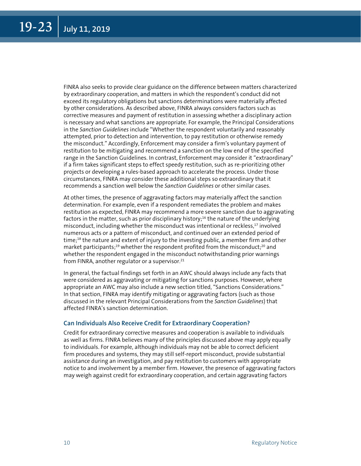<span id="page-9-0"></span>FINRA also seeks to provide clear guidance on the difference between matters characterized by extraordinary cooperation, and matters in which the respondent's conduct did not exceed its regulatory obligations but sanctions determinations were materially affected by other considerations. As described above, FINRA always considers factors such as corrective measures and payment of restitution in assessing whether a disciplinary action is necessary and what sanctions are appropriate. For example, the Principal Considerations in the *Sanction Guidelines* include "Whether the respondent voluntarily and reasonably attempted, prior to detection and intervention, to pay restitution or otherwise remedy the misconduct." Accordingly, Enforcement may consider a firm's voluntary payment of restitution to be mitigating and recommend a sanction on the low end of the specified range in the Sanction Guidelines. In contrast, Enforcement may consider it "extraordinary" if a firm takes significant steps to effect speedy restitution, such as re-prioritizing other projects or developing a rules-based approach to accelerate the process. Under those circumstances, FINRA may consider these additional steps so extraordinary that it recommends a sanction well below the *Sanction Guidelines* or other similar cases.

At other times, the presence of aggravating factors may materially affect the sanction determination. For example, even if a respondent remediates the problem and makes restitution as expected, FINRA may recommend a more severe sanction due to aggravating factors in the matter, such as prior disciplinary history;<sup>16</sup> the nature of the underlying misconduct, including whether the misconduct was intentional or reckless,<sup>17</sup> involved numerous acts or a pattern of misconduct, and continued over an extended period of time;<sup>18</sup> the nature and extent of injury to the investing public, a member firm and other market participants;<sup>19</sup> whether the respondent profited from the misconduct;<sup>20</sup> and whether the respondent engaged in the misconduct notwithstanding prior warnings from FINRA, another regulator or a supervisor.<sup>21</sup>

In general, the factual findings set forth in an AWC should always include any facts that were considered as aggravating or mitigating for sanctions purposes. However, where appropriate an AWC may also include a new section titled, "Sanctions Considerations." In that section, FINRA may identify mitigating or aggravating factors (such as those discussed in the relevant Principal Considerations from the *Sanction Guidelines*) that affected FINRA's sanction determination.

#### **Can Individuals Also Receive Credit for Extraordinary Cooperation?**

Credit for extraordinary corrective measures and cooperation is available to individuals as well as firms. FINRA believes many of the principles discussed above may apply equally to individuals. For example, although individuals may not be able to correct deficient firm procedures and systems, they may still self-report misconduct, provide substantial assistance during an investigation, and pay restitution to customers with appropriate notice to and involvement by a member firm. However, the presence of aggravating factors may weigh against credit for extraordinary cooperation, and certain aggravating factors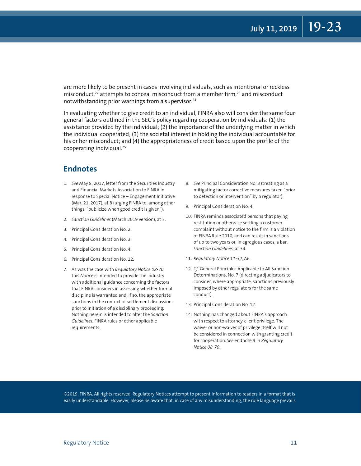<span id="page-10-0"></span>are more likely to be present in cases involving individuals, such as intentional or reckless misconduct, $22$  attempts to conceal misconduct from a member firm, $23$  and misconduct notwithstanding prior warnings from a supervisor.<sup>[24](#page-11-0)</sup>

In evaluating whether to give credit to an individual, FINRA also will consider the same four general factors outlined in the SEC's policy regarding cooperation by individuals: (1) the assistance provided by the individual; (2) the importance of the underlying matter in which the individual cooperated; (3) the societal interest in holding the individual accountable for his or her misconduct; and (4) the appropriateness of credit based upon the profile of the cooperating individual[.25](#page-11-0)

#### **Endnotes**

- 1. *[S](#page-1-0)ee* May 8, 2017, letter from the Securities Industry and Financial Markets Association to FINRA in response to Special Notice – Engagement Initiative (Mar. 21, 2017), at 8 (urging FINRA to, among other things, "publicize when good credit is given").
- 2. *Sanction Guidelines* (March 2019 version), at 3.
- 3. [Pr](#page-1-0)incipal Consideration No. 2.
- 4. [Pr](#page-1-0)incipal Consideration No. 3.
- 5. [Pr](#page-1-0)incipal Consideration No. 4.
- 6. [Pr](#page-1-0)incipal Consideration No. 12.
- 7. [A](#page-2-0)s was the case with *Regulatory Notice 08-70*, this *Notice* is intended to provide the industry with additional guidance concerning the factors that FINRA considers in assessing whether formal discipline is warranted and, if so, the appropriate sanctions in the context of settlement discussions prior to initiation of a disciplinary proceeding. Nothing herein is intended to alter the *Sanction Guidelines*, FINRA rules or other applicable requirements.
- 8. *[S](#page-4-0)ee* Principal Consideration No. 3 (treating as a mitigating factor corrective measures taken "prior to detection or intervention" by a regulator).
- 9. [Pr](#page-5-0)incipal Consideration No. 4.
- 10. [F](#page-5-0)INRA reminds associated persons that paying restitution or otherwise settling a customer complaint without notice to the firm is a violation of FINRA Rule 2010, and can result in sanctions of up to two years or, in egregious cases, a bar. *Sanction Guidelines*, at 34.
- 11. *[Re](#page-6-0)gulatory Notice 11-32*, A6.
- 12. *Cf.* General Principles Applicable to All Sanction Determinations, No. 7 (directing adjudicators to consider, where appropriate, sanctions previously imposed by other regulators for the same conduct).
- 13. [Pr](#page-7-0)incipal Consideration No. 12.
- 14. [N](#page-7-0)othing has changed about FINRA's approach with respect to attorney-client privilege. The waiver or non-waiver of privilege itself will not be considered in connection with granting credit for cooperation. *See* endnote 9 in *Regulatory Notice 08-70*.

©2019. FINRA. All rights reserved. Regulatory Notices attempt to present information to readers in a format that is easily understandable. However, please be aware that, in case of any misunderstanding, the rule language prevails.